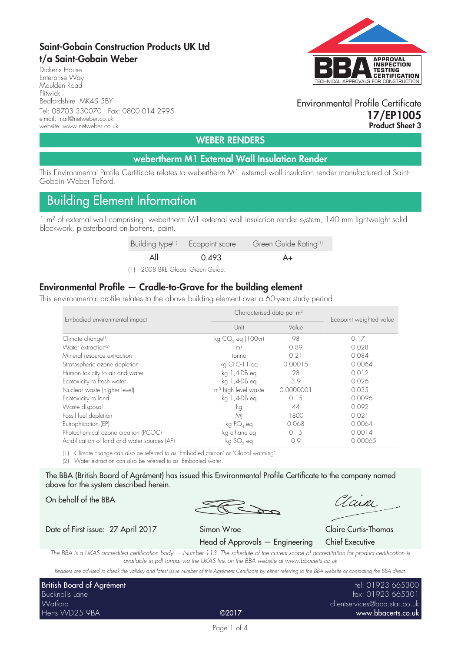# Saint-Gobain Construction Products UK Ltd t/a Saint-Gobain Weber

Dickens House Enterprise Way Maulden Road Flitwick Bedfordshire MK45 5BY Tel: 08703 330070 Fax: 0800 014 2995 e-mail: mail@netweber.co.uk website: www.netweber.co.uk



## Environmental Profile Certificate 17/EP1005 Product Sheet 3

# WEBER RENDERS

## webertherm M1 External Wall Insulation Render

This Environmental Profile Certificate relates to webertherm M1 external wall insulation render manufactured at Saint-Gobain Weber Telford.

# Building Element Information

1 m<sup>2</sup> of external wall comprising: webertherm M1 external wall insulation render system, 140 mm lightweight solid blockwork, plasterboard on battens, paint.

|                                                          | Building type <sup>(1)</sup> Ecopoint score | Green Guide Rating <sup>(1)</sup> |
|----------------------------------------------------------|---------------------------------------------|-----------------------------------|
| All                                                      | 0.493                                       | A+                                |
| $(1)$ $(2000 \text{OPT} \cap 1)$ $(2)$ $(2)$ $(3)$ $(1)$ |                                             |                                   |

(1) 2008 BRE Global Green Guide.

# Environmental Profile — Cradle-to-Grave for the building element

This environmental profile relates to the above building element over a 60-year study period.

| Embodied environmental impact                | Characterised data per m <sup>2</sup> | Ecopoint weighted value |         |
|----------------------------------------------|---------------------------------------|-------------------------|---------|
|                                              | Unit                                  | Value                   |         |
| Climate change <sup>[1]</sup>                | $kg CO2$ eq (100yr)                   | 98                      | 0.17    |
| Water extraction <sup>(2)</sup>              | m <sup>3</sup>                        | 0.89                    | 0.028   |
| Mineral resource extraction                  | tonne                                 | 0.21                    | 0.084   |
| Stratospheric ozone depletion                | kg CFC-11 eq                          | 0.00015                 | 0.0064  |
| Human toxicity to air and water              | kg 1,4-DB eq                          | 28                      | 0.012   |
| Ecotoxicity to fresh water                   | kg 1,4-DB eq                          | 3.9                     | 0.026   |
| Nuclear waste (higher level)                 | m <sup>3</sup> high level waste       | 0.0000001               | 0.035   |
| Ecotoxicity to land                          | kg 1,4-DB eg                          | 0.15                    | 0.0096  |
| Waste disposal                               | kg                                    | 44                      | 0.092   |
| Fossil fuel depletion                        | ΜI                                    | 1800                    | 0.021   |
| Eutrophication (EP)                          | kg PO, eq                             | 0.068                   | 0.0064  |
| Photochemical ozone creation (PCOC)          | kg ethane eg                          | 0.15                    | 0.0014  |
| Acidification of land and water sources (AP) | kg SO <sub>2</sub> eq                 | 0.9                     | 0.00065 |

(1) Climate change can also be referred to as 'Embodied carbon' or 'Global warming'.

(2) Water extraction can also be referred to as 'Embodied water.

The BBA (British Board of Agrément) has issued this Environmental Profile Certificate to the company named above for the system described herein.

On behalf of the BBA

Date of First issue: 27 April 2017 Simon Wroe Claire Curtis-Thomas

Tain

Head of Approvals — Engineering Chief Executive

*The BBA is a UKAS accredited certification body — Number 113. The schedule of the current scope of accreditation for product certification is available in pdf format via the UKAS link on the BBA website at www.bbacerts.co.uk*

*Readers are advised to check the validity and latest issue number of this Agrément Certificate by either referring to the BBA website or contacting the BBA direct.*

| British Board of Agrément |       | tel: 01923 665300             |
|---------------------------|-------|-------------------------------|
| Bucknalls Lane            |       | fax: 01923 665301             |
| Watford                   |       | clientservices@bba.star.co.uk |
| Herts WD25 9BA            | @2017 | www.bbacerts.co.uk            |

Page 1 of 4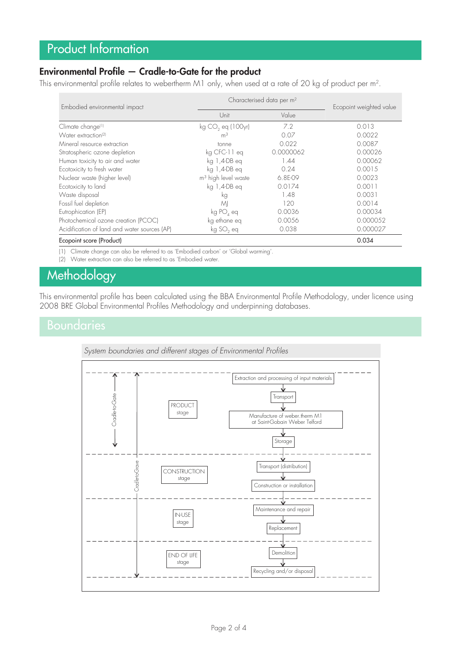# Product Information

# Environmental Profile — Cradle-to-Gate for the product

This environmental profile relates to webertherm M1 only, when used at a rate of 20 kg of product per m<sup>2</sup>.

| Embodied environmental impact                | Characterised data per m <sup>2</sup> |           | Ecopoint weighted value |
|----------------------------------------------|---------------------------------------|-----------|-------------------------|
|                                              | Unit                                  | Value     |                         |
| Climate change <sup>(1)</sup>                | kg $CO2$ eq (100yr)                   | 7.2       | 0.013                   |
| Water extraction <sup>(2)</sup>              | m <sup>3</sup>                        | 0.07      | 0.0022                  |
| Mineral resource extraction                  | tonne                                 | 0.022     | 0.0087                  |
| Stratospheric ozone depletion                | kg CFC-11 eq                          | 0.0000062 | 0.00026                 |
| Human toxicity to air and water              | kg 1,4-DB eg                          | 1.44      | 0.00062                 |
| Ecotoxicity to fresh water                   | kg 1,4-DB eq                          | 0.24      | 0.0015                  |
| Nuclear waste (higher level)                 | m <sup>3</sup> high level waste       | 6.8E-09   | 0.0023                  |
| Ecotoxicity to land                          | kg 1,4-DB eq                          | 0.0174    | 0.0011                  |
| Waste disposal                               | kg                                    | 1.48      | 0.0031                  |
| Fossil fuel depletion                        | ΜI                                    | 120       | 0.0014                  |
| Eutrophication (EP)                          | kg PO <sub>4</sub> eq                 | 0.0036    | 0.00034                 |
| Photochemical ozone creation (PCOC)          | kg ethane eq                          | 0.0056    | 0.000052                |
| Acidification of land and water sources (AP) | kg SO <sub>2</sub> eq                 | 0.038     | 0.000027                |
| Ecopoint score (Product)                     |                                       | 0.034     |                         |

(1) Climate change can also be referred to as 'Embodied carbon' or 'Global warming'.

(2) Water extraction can also be referred to as 'Embodied water.

# **Methodology**

This environmental profile has been calculated using the BBA Environmental Profile Methodology, under licence using 2008 BRE Global Environmental Profiles Methodology and underpinning databases.

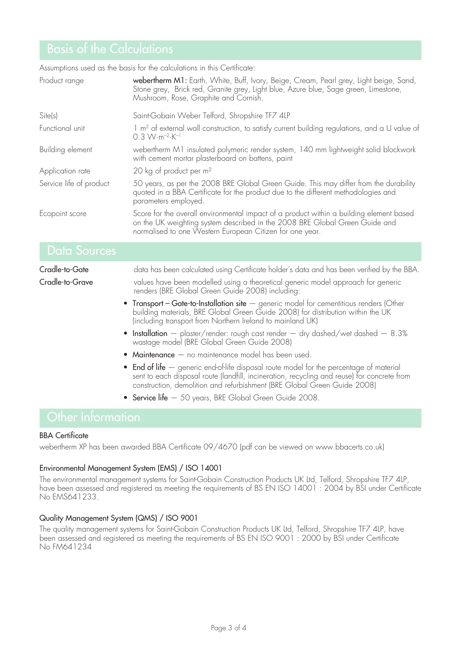Assumptions used as the basis for the calculations in this Certificate: Product range webertherm M1: Earth, White, Buff, Ivory, Beige, Cream, Pearl grey, Light beige, Sand, Stone grey, Brick red, Granite grey, Light blue, Azure blue, Sage green, Limestone, Mushroom, Rose, Graphite and Cornish. Site(s) Saint-Gobain Weber Telford, Shropshire TF7 4LP Functional unit 1 m<sup>2</sup> of external wall construction, to satisfy current building regulations, and a U value of 0.3 W·m–2·K–1 Building element webertherm M1 insulated polymeric render system, 140 mm lightweight solid blockwork with cement mortar plasterboard on battens, paint Application rate 20 kg of product per m<sup>2</sup> Service life of product 50 years, as per the 2008 BRE Global Green Guide. This may differ from the durability quoted in a BBA Certificate for the product due to the different methodologies and parameters employed. Ecopoint score Score for the overall environmental impact of a product within a building element based on the UK weighting system described in the 2008 BRE Global Green Guide and normalised to one Western European Citizen for one year.

Cradle-to-Gate data has been calculated using Certificate holder's data and has been verified by the BBA.

Cradle-to-Grave values have been modelled using a theoretical generic model approach for generic renders (BRE Global Green Guide 2008) including:

- Transport Gate-to-Installation site generic model for cementitious renders (Other building materials, BRE Global Green Guide 2008) for distribution within the UK (including transport from Northern Ireland to mainland UK)
- Installation plaster/render: rough cast render dry dashed/wet dashed 8.3% wastage model (BRE Global Green Guide 2008)
- Maintenance no maintenance model has been used.
- End of life  $-$  generic end-of-life disposal route model for the percentage of material sent to each disposal route (landfill, incineration, recycling and reuse) for concrete from construction, demolition and refurbishment (BRE Global Green Guide 2008)
- Service life  $-50$  years, BRE Global Green Guide 2008.

### BBA Certificate

webertherm XP has been awarded BBA Certificate 09/4670 (pdf can be viewed on www.bbacerts.co.uk)

### Environmental Management System (EMS) / ISO 14001

The environmental management systems for Saint-Gobain Construction Products UK Ltd, Telford, Shropshire TF7 4LP, have been assessed and registered as meeting the requirements of BS EN ISO 14001 : 2004 by BSI under Certificate No EMS641233.

### Quality Management System (QMS) / ISO 9001

The quality management systems for Saint-Gobain Construction Products UK Ltd, Telford, Shropshire TF7 4LP, have been assessed and registered as meeting the requirements of BS EN ISO 9001: 2000 by BSI under Certificate No FM641234